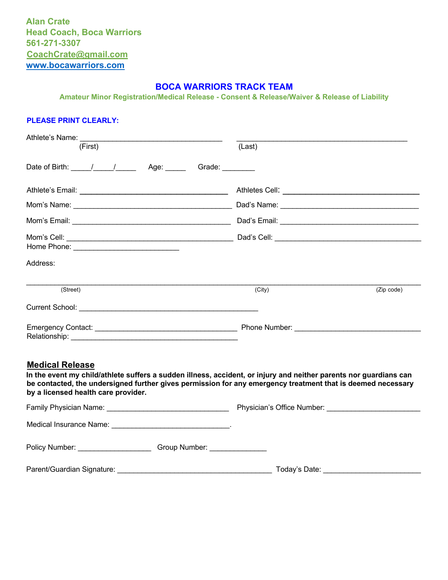**Alan Crate Head Coach, Boca Warriors 561-271-3307 CoachCrate@gmail.com www.bocawarriors.com**

#### **BOCA WARRIORS TRACK TEAM**

**Amateur Minor Registration/Medical Release - Consent & Release/Waiver & Release of Liability** 

#### **PLEASE PRINT CLEARLY:**

| Athlete's Name:<br>(First)                                                                    | (Last)          |            |
|-----------------------------------------------------------------------------------------------|-----------------|------------|
| Date of Birth: $\frac{1}{\sqrt{1-\frac{1}{2}}}\frac{1}{\sqrt{1-\frac{1}{2}}}}$<br>Age: ______ | Grade: ________ |            |
|                                                                                               |                 |            |
|                                                                                               |                 |            |
|                                                                                               |                 |            |
|                                                                                               |                 |            |
| Address:                                                                                      |                 |            |
| (Street)                                                                                      | (City)          | (Zip code) |
|                                                                                               |                 |            |
| Relationship:                                                                                 |                 |            |

#### **Medical Release**

**In the event my child/athlete suffers a sudden illness, accident, or injury and neither parents nor guardians can be contacted, the undersigned further gives permission for any emergency treatment that is deemed necessary by a licensed health care provider.** 

|                                                                                                                                                                                                                                | Physician's Office Number: _______________________ |
|--------------------------------------------------------------------------------------------------------------------------------------------------------------------------------------------------------------------------------|----------------------------------------------------|
| Medical Insurance Name: Mannell All Allen Medical Insurance Name: Management All All All All All All All All A                                                                                                                 |                                                    |
| Policy Number: National Policy Number:<br>Group Number: Canada Andrew Contractor                                                                                                                                               |                                                    |
| Parent/Guardian Signature: Note that the contract of the contract of the contract of the contract of the contract of the contract of the contract of the contract of the contract of the contract of the contract of the contr | Today's Date: ________________________             |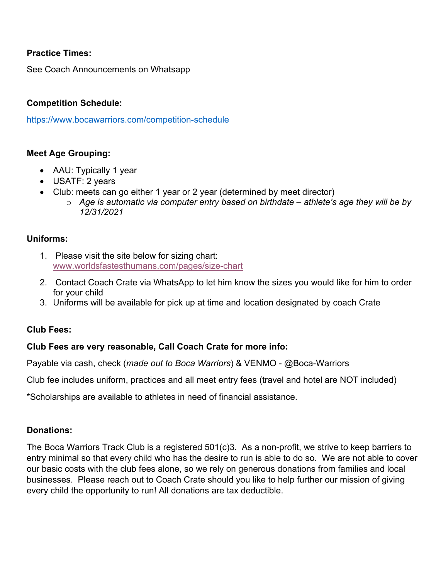# **Practice Times:**

See Coach Announcements on Whatsapp

## **Competition Schedule:**

https://www.bocawarriors.com/competition-schedule

## **Meet Age Grouping:**

- AAU: Typically 1 year
- USATF: 2 years
- Club: meets can go either 1 year or 2 year (determined by meet director)
	- o *Age is automatic via computer entry based on birthdate – athlete's age they will be by 12/31/2021*

## **Uniforms:**

- 1. Please visit the site below for sizing chart: www.worldsfastesthumans.com/pages/size-chart
- 2. Contact Coach Crate via WhatsApp to let him know the sizes you would like for him to order for your child
- 3. Uniforms will be available for pick up at time and location designated by coach Crate

## **Club Fees:**

## **Club Fees are very reasonable, Call Coach Crate for more info:**

Payable via cash, check (*made out to Boca Warriors*) & VENMO - @Boca-Warriors

Club fee includes uniform, practices and all meet entry fees (travel and hotel are NOT included)

\*Scholarships are available to athletes in need of financial assistance.

## **Donations:**

The Boca Warriors Track Club is a registered 501(c)3. As a non-profit, we strive to keep barriers to entry minimal so that every child who has the desire to run is able to do so. We are not able to cover our basic costs with the club fees alone, so we rely on generous donations from families and local businesses. Please reach out to Coach Crate should you like to help further our mission of giving every child the opportunity to run! All donations are tax deductible.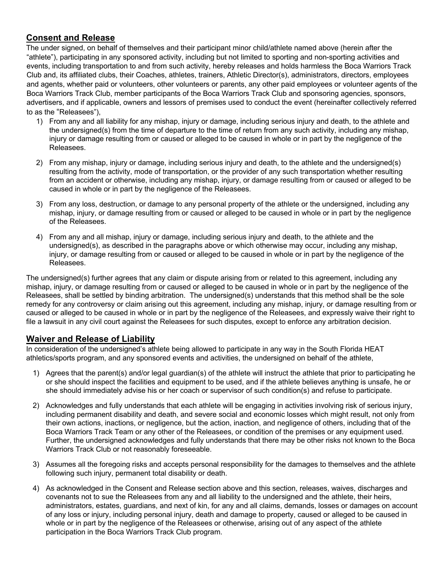## **Consent and Release**

The under signed, on behalf of themselves and their participant minor child/athlete named above (herein after the "athlete"), participating in any sponsored activity, including but not limited to sporting and non-sporting activities and events, including transportation to and from such activity, hereby releases and holds harmless the Boca Warriors Track Club and, its affiliated clubs, their Coaches, athletes, trainers, Athletic Director(s), administrators, directors, employees and agents, whether paid or volunteers, other volunteers or parents, any other paid employees or volunteer agents of the Boca Warriors Track Club, member participants of the Boca Warriors Track Club and sponsoring agencies, sponsors, advertisers, and if applicable, owners and lessors of premises used to conduct the event (hereinafter collectively referred to as the "Releasees"),

- 1) From any and all liability for any mishap, injury or damage, including serious injury and death, to the athlete and the undersigned(s) from the time of departure to the time of return from any such activity, including any mishap, injury or damage resulting from or caused or alleged to be caused in whole or in part by the negligence of the Releasees.
- 2) From any mishap, injury or damage, including serious injury and death, to the athlete and the undersigned(s) resulting from the activity, mode of transportation, or the provider of any such transportation whether resulting from an accident or otherwise, including any mishap, injury, or damage resulting from or caused or alleged to be caused in whole or in part by the negligence of the Releasees.
- 3) From any loss, destruction, or damage to any personal property of the athlete or the undersigned, including any mishap, injury, or damage resulting from or caused or alleged to be caused in whole or in part by the negligence of the Releasees.
- 4) From any and all mishap, injury or damage, including serious injury and death, to the athlete and the undersigned(s), as described in the paragraphs above or which otherwise may occur, including any mishap, injury, or damage resulting from or caused or alleged to be caused in whole or in part by the negligence of the Releasees.

The undersigned(s) further agrees that any claim or dispute arising from or related to this agreement, including any mishap, injury, or damage resulting from or caused or alleged to be caused in whole or in part by the negligence of the Releasees, shall be settled by binding arbitration. The undersigned(s) understands that this method shall be the sole remedy for any controversy or claim arising out this agreement, including any mishap, injury, or damage resulting from or caused or alleged to be caused in whole or in part by the negligence of the Releasees, and expressly waive their right to file a lawsuit in any civil court against the Releasees for such disputes, except to enforce any arbitration decision.

## **Waiver and Release of Liability**

In consideration of the undersigned's athlete being allowed to participate in any way in the South Florida HEAT athletics/sports program, and any sponsored events and activities, the undersigned on behalf of the athlete,

- 1) Agrees that the parent(s) and/or legal guardian(s) of the athlete will instruct the athlete that prior to participating he or she should inspect the facilities and equipment to be used, and if the athlete believes anything is unsafe, he or she should immediately advise his or her coach or supervisor of such condition(s) and refuse to participate.
- 2) Acknowledges and fully understands that each athlete will be engaging in activities involving risk of serious injury, including permanent disability and death, and severe social and economic losses which might result, not only from their own actions, inactions, or negligence, but the action, inaction, and negligence of others, including that of the Boca Warriors Track Team or any other of the Releasees, or condition of the premises or any equipment used. Further, the undersigned acknowledges and fully understands that there may be other risks not known to the Boca Warriors Track Club or not reasonably foreseeable.
- 3) Assumes all the foregoing risks and accepts personal responsibility for the damages to themselves and the athlete following such injury, permanent total disability or death.
- 4) As acknowledged in the Consent and Release section above and this section, releases, waives, discharges and covenants not to sue the Releasees from any and all liability to the undersigned and the athlete, their heirs, administrators, estates, guardians, and next of kin, for any and all claims, demands, losses or damages on account of any loss or injury, including personal injury, death and damage to property, caused or alleged to be caused in whole or in part by the negligence of the Releasees or otherwise, arising out of any aspect of the athlete participation in the Boca Warriors Track Club program.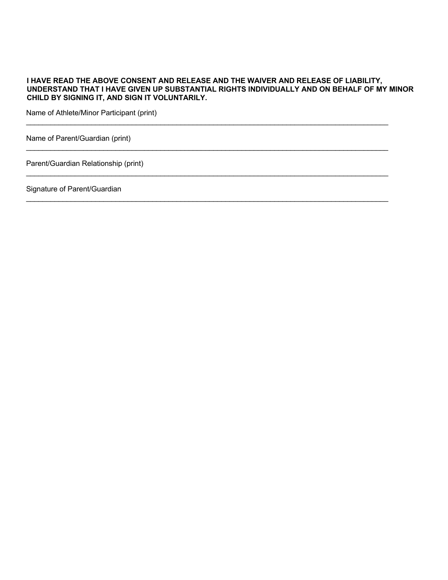#### **I HAVE READ THE ABOVE CONSENT AND RELEASE AND THE WAIVER AND RELEASE OF LIABILITY, UNDERSTAND THAT I HAVE GIVEN UP SUBSTANTIAL RIGHTS INDIVIDUALLY AND ON BEHALF OF MY MINOR CHILD BY SIGNING IT, AND SIGN IT VOLUNTARILY.**

\_\_\_\_\_\_\_\_\_\_\_\_\_\_\_\_\_\_\_\_\_\_\_\_\_\_\_\_\_\_\_\_\_\_\_\_\_\_\_\_\_\_\_\_\_\_\_\_\_\_\_\_\_\_\_\_\_\_\_\_\_\_\_\_\_\_\_\_\_\_\_\_\_\_\_\_\_\_\_\_\_\_\_\_\_\_\_\_\_

 $\mathcal{L}_\mathcal{L} = \mathcal{L}_\mathcal{L} = \mathcal{L}_\mathcal{L} = \mathcal{L}_\mathcal{L} = \mathcal{L}_\mathcal{L} = \mathcal{L}_\mathcal{L} = \mathcal{L}_\mathcal{L} = \mathcal{L}_\mathcal{L} = \mathcal{L}_\mathcal{L} = \mathcal{L}_\mathcal{L} = \mathcal{L}_\mathcal{L} = \mathcal{L}_\mathcal{L} = \mathcal{L}_\mathcal{L} = \mathcal{L}_\mathcal{L} = \mathcal{L}_\mathcal{L} = \mathcal{L}_\mathcal{L} = \mathcal{L}_\mathcal{L}$ 

\_\_\_\_\_\_\_\_\_\_\_\_\_\_\_\_\_\_\_\_\_\_\_\_\_\_\_\_\_\_\_\_\_\_\_\_\_\_\_\_\_\_\_\_\_\_\_\_\_\_\_\_\_\_\_\_\_\_\_\_\_\_\_\_\_\_\_\_\_\_\_\_\_\_\_\_\_\_\_\_\_\_\_\_\_\_\_\_\_

\_\_\_\_\_\_\_\_\_\_\_\_\_\_\_\_\_\_\_\_\_\_\_\_\_\_\_\_\_\_\_\_\_\_\_\_\_\_\_\_\_\_\_\_\_\_\_\_\_\_\_\_\_\_\_\_\_\_\_\_\_\_\_\_\_\_\_\_\_\_\_\_\_\_\_\_\_\_\_\_\_\_\_\_\_\_\_\_\_

Name of Athlete/Minor Participant (print)

Name of Parent/Guardian (print)

Parent/Guardian Relationship (print)

Signature of Parent/Guardian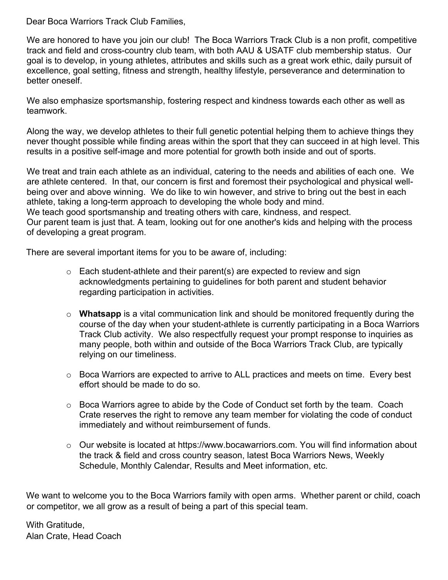Dear Boca Warriors Track Club Families,

We are honored to have you join our club! The Boca Warriors Track Club is a non profit, competitive track and field and cross-country club team, with both AAU & USATF club membership status. Our goal is to develop, in young athletes, attributes and skills such as a great work ethic, daily pursuit of excellence, goal setting, fitness and strength, healthy lifestyle, perseverance and determination to better oneself.

We also emphasize sportsmanship, fostering respect and kindness towards each other as well as teamwork.

Along the way, we develop athletes to their full genetic potential helping them to achieve things they never thought possible while finding areas within the sport that they can succeed in at high level. This results in a positive self-image and more potential for growth both inside and out of sports.

We treat and train each athlete as an individual, catering to the needs and abilities of each one. We are athlete centered. In that, our concern is first and foremost their psychological and physical wellbeing over and above winning. We do like to win however, and strive to bring out the best in each athlete, taking a long-term approach to developing the whole body and mind. We teach good sportsmanship and treating others with care, kindness, and respect.

Our parent team is just that. A team, looking out for one another's kids and helping with the process of developing a great program.

There are several important items for you to be aware of, including:

- $\circ$  Each student-athlete and their parent(s) are expected to review and sign acknowledgments pertaining to guidelines for both parent and student behavior regarding participation in activities.
- o **Whatsapp** is a vital communication link and should be monitored frequently during the course of the day when your student-athlete is currently participating in a Boca Warriors Track Club activity. We also respectfully request your prompt response to inquiries as many people, both within and outside of the Boca Warriors Track Club, are typically relying on our timeliness.
- o Boca Warriors are expected to arrive to ALL practices and meets on time. Every best effort should be made to do so.
- $\circ$  Boca Warriors agree to abide by the Code of Conduct set forth by the team. Coach Crate reserves the right to remove any team member for violating the code of conduct immediately and without reimbursement of funds.
- o Our website is located at https://www.bocawarriors.com. You will find information about the track & field and cross country season, latest Boca Warriors News, Weekly Schedule, Monthly Calendar, Results and Meet information, etc.

We want to welcome you to the Boca Warriors family with open arms. Whether parent or child, coach or competitor, we all grow as a result of being a part of this special team.

With Gratitude, Alan Crate, Head Coach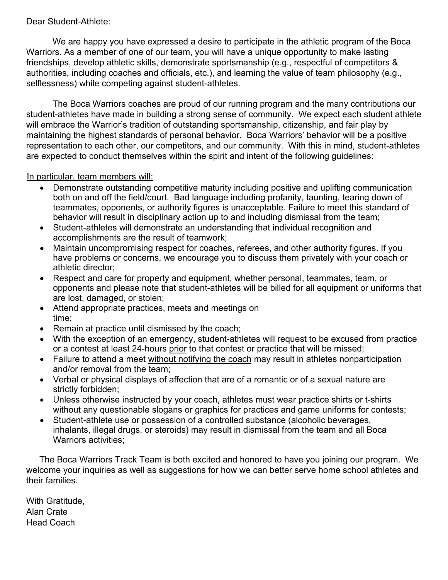## Dear Student-Athlete:

We are happy you have expressed a desire to participate in the athletic program of the Boca Warriors. As a member of one of our team, you will have a unique opportunity to make lasting friendships, develop athletic skills, demonstrate sportsmanship (e.g., respectful of competitors & authorities, including coaches and officials, etc.), and learning the value of team philosophy (e.g., selflessness) while competing against student-athletes.

The Boca Warriors coaches are proud of our running program and the many contributions our student-athletes have made in building a strong sense of community. We expect each student athlete will embrace the Warrior's tradition of outstanding sportsmanship, citizenship, and fair play by maintaining the highest standards of personal behavior. Boca Warriors' behavior will be a positive representation to each other, our competitors, and our community. With this in mind, student-athletes are expected to conduct themselves within the spirit and intent of the following guidelines:

## In particular, team members will:

- Demonstrate outstanding competitive maturity including positive and uplifting communication both on and off the field/court. Bad language including profanity, taunting, tearing down of teammates, opponents, or authority figures is unacceptable. Failure to meet this standard of behavior will result in disciplinary action up to and including dismissal from the team;
- Student-athletes will demonstrate an understanding that individual recognition and accomplishments are the result of teamwork;
- Maintain uncompromising respect for coaches, referees, and other authority figures. If you have problems or concerns, we encourage you to discuss them privately with your coach or athletic director;
- Respect and care for property and equipment, whether personal, teammates, team, or opponents and please note that student-athletes will be billed for all equipment or uniforms that are lost, damaged, or stolen;
- Attend appropriate practices, meets and meetings on time;
- Remain at practice until dismissed by the coach;
- With the exception of an emergency, student-athletes will request to be excused from practice or a contest at least 24-hours prior to that contest or practice that will be missed;
- Failure to attend a meet without notifying the coach may result in athletes nonparticipation and/or removal from the team;
- Verbal or physical displays of affection that are of a romantic or of a sexual nature are strictly forbidden;
- Unless otherwise instructed by your coach, athletes must wear practice shirts or t-shirts without any questionable slogans or graphics for practices and game uniforms for contests;
- Student-athlete use or possession of a controlled substance (alcoholic beverages, inhalants, illegal drugs, or steroids) may result in dismissal from the team and all Boca Warriors activities;

The Boca Warriors Track Team is both excited and honored to have you joining our program. We welcome your inquiries as well as suggestions for how we can better serve home school athletes and their families.

With Gratitude, Alan Crate Head Coach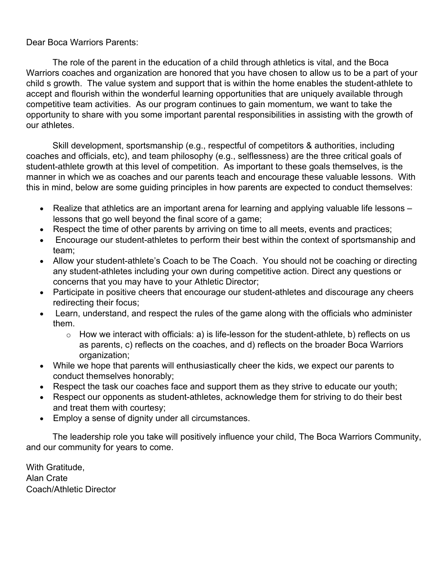## Dear Boca Warriors Parents:

The role of the parent in the education of a child through athletics is vital, and the Boca Warriors coaches and organization are honored that you have chosen to allow us to be a part of your child s growth. The value system and support that is within the home enables the student-athlete to accept and flourish within the wonderful learning opportunities that are uniquely available through competitive team activities. As our program continues to gain momentum, we want to take the opportunity to share with you some important parental responsibilities in assisting with the growth of our athletes.

Skill development, sportsmanship (e.g., respectful of competitors & authorities, including coaches and officials, etc), and team philosophy (e.g., selflessness) are the three critical goals of student-athlete growth at this level of competition. As important to these goals themselves, is the manner in which we as coaches and our parents teach and encourage these valuable lessons. With this in mind, below are some guiding principles in how parents are expected to conduct themselves:

- Realize that athletics are an important arena for learning and applying valuable life lessons lessons that go well beyond the final score of a game;
- Respect the time of other parents by arriving on time to all meets, events and practices;
- Encourage our student-athletes to perform their best within the context of sportsmanship and team;
- Allow your student-athlete's Coach to be The Coach. You should not be coaching or directing any student-athletes including your own during competitive action. Direct any questions or concerns that you may have to your Athletic Director;
- Participate in positive cheers that encourage our student-athletes and discourage any cheers redirecting their focus;
- Learn, understand, and respect the rules of the game along with the officials who administer them.
	- $\circ$  How we interact with officials: a) is life-lesson for the student-athlete, b) reflects on us as parents, c) reflects on the coaches, and d) reflects on the broader Boca Warriors organization;
- While we hope that parents will enthusiastically cheer the kids, we expect our parents to conduct themselves honorably;
- Respect the task our coaches face and support them as they strive to educate our youth;
- Respect our opponents as student-athletes, acknowledge them for striving to do their best and treat them with courtesy;
- Employ a sense of dignity under all circumstances.

The leadership role you take will positively influence your child, The Boca Warriors Community, and our community for years to come.

With Gratitude, Alan Crate Coach/Athletic Director